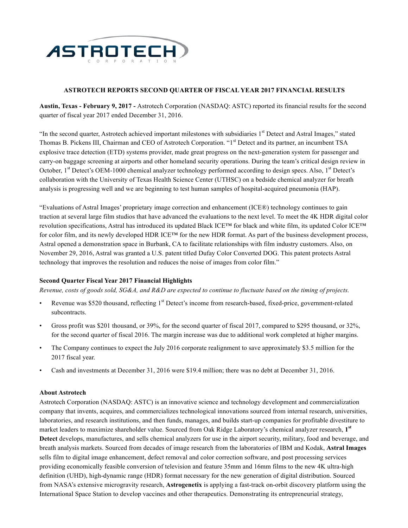

### **ASTROTECH REPORTS SECOND QUARTER OF FISCAL YEAR 2017 FINANCIAL RESULTS**

**Austin, Texas - February 9, 2017 -** Astrotech Corporation (NASDAQ: ASTC) reported its financial results for the second quarter of fiscal year 2017 ended December 31, 2016.

"In the second quarter, Astrotech achieved important milestones with subsidiaries 1<sup>st</sup> Detect and Astral Images," stated Thomas B. Pickens III, Chairman and CEO of Astrotech Corporation. "1<sup>st</sup> Detect and its partner, an incumbent TSA explosive trace detection (ETD) systems provider, made great progress on the next-generation system for passenger and carry-on baggage screening at airports and other homeland security operations. During the team's critical design review in October, 1<sup>st</sup> Detect's OEM-1000 chemical analyzer technology performed according to design specs. Also, 1<sup>st</sup> Detect's collaboration with the University of Texas Health Science Center (UTHSC) on a bedside chemical analyzer for breath analysis is progressing well and we are beginning to test human samples of hospital-acquired pneumonia (HAP).

"Evaluations of Astral Images' proprietary image correction and enhancement (ICE®) technology continues to gain traction at several large film studios that have advanced the evaluations to the next level. To meet the 4K HDR digital color revolution specifications, Astral has introduced its updated Black ICE™ for black and white film, its updated Color ICE™ for color film, and its newly developed HDR ICE™ for the new HDR format. As part of the business development process, Astral opened a demonstration space in Burbank, CA to facilitate relationships with film industry customers. Also, on November 29, 2016, Astral was granted a U.S. patent titled Dufay Color Converted DOG. This patent protects Astral technology that improves the resolution and reduces the noise of images from color film."

#### **Second Quarter Fiscal Year 2017 Financial Highlights**

*Revenue, costs of goods sold, SG&A, and R&D are expected to continue to fluctuate based on the timing of projects.*

- Revenue was \$520 thousand, reflecting 1<sup>st</sup> Detect's income from research-based, fixed-price, government-related subcontracts.
- Gross profit was \$201 thousand, or 39%, for the second quarter of fiscal 2017, compared to \$295 thousand, or 32%, for the second quarter of fiscal 2016. The margin increase was due to additional work completed at higher margins.
- The Company continues to expect the July 2016 corporate realignment to save approximately \$3.5 million for the 2017 fiscal year.
- Cash and investments at December 31, 2016 were \$19.4 million; there was no debt at December 31, 2016.

#### **About Astrotech**

Astrotech Corporation (NASDAQ: ASTC) is an innovative science and technology development and commercialization company that invents, acquires, and commercializes technological innovations sourced from internal research, universities, laboratories, and research institutions, and then funds, manages, and builds start-up companies for profitable divestiture to market leaders to maximize shareholder value. Sourced from Oak Ridge Laboratory's chemical analyzer research, **1st Detect** develops, manufactures, and sells chemical analyzers for use in the airport security, military, food and beverage, and breath analysis markets. Sourced from decades of image research from the laboratories of IBM and Kodak, **Astral Images** sells film to digital image enhancement, defect removal and color correction software, and post processing services providing economically feasible conversion of television and feature 35mm and 16mm films to the new 4K ultra-high definition (UHD), high-dynamic range (HDR) format necessary for the new generation of digital distribution. Sourced from NASA's extensive microgravity research, **Astrogenetix** is applying a fast-track on-orbit discovery platform using the International Space Station to develop vaccines and other therapeutics. Demonstrating its entrepreneurial strategy,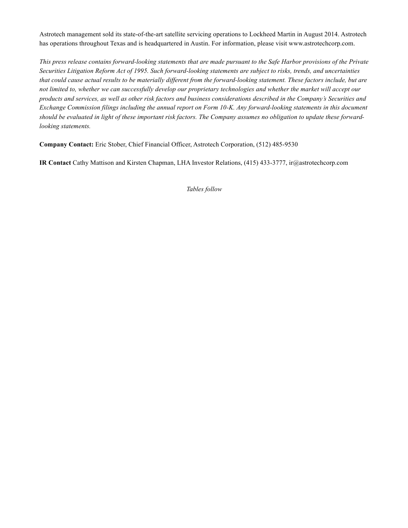Astrotech management sold its state-of-the-art satellite servicing operations to Lockheed Martin in August 2014. Astrotech has operations throughout Texas and is headquartered in Austin. For information, please visit www.astrotechcorp.com.

*This press release contains forward-looking statements that are made pursuant to the Safe Harbor provisions of the Private Securities Litigation Reform Act of 1995. Such forward-looking statements are subject to risks, trends, and uncertainties that could cause actual results to be materially different from the forward-looking statement. These factors include, but are not limited to, whether we can successfully develop our proprietary technologies and whether the market will accept our products and services, as well as other risk factors and business considerations described in the Company's Securities and Exchange Commission filings including the annual report on Form 10-K. Any forward-looking statements in this document should be evaluated in light of these important risk factors. The Company assumes no obligation to update these forwardlooking statements.*

**Company Contact:** Eric Stober, Chief Financial Officer, Astrotech Corporation, (512) 485-9530

**IR Contact** Cathy Mattison and Kirsten Chapman, LHA Investor Relations, (415) 433-3777, ir@astrotechcorp.com

*Tables follow*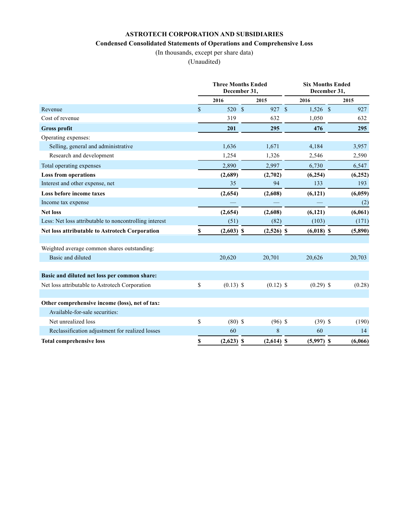# **ASTROTECH CORPORATION AND SUBSIDIARIES Condensed Consolidated Statements of Operations and Comprehensive Loss**

(In thousands, except per share data)

(Unaudited)

|                                                        |             | <b>Three Months Ended</b><br>December 31, |  |              | <b>Six Months Ended</b><br>December 31, |  |         |  |
|--------------------------------------------------------|-------------|-------------------------------------------|--|--------------|-----------------------------------------|--|---------|--|
|                                                        |             | 2016                                      |  | 2015         | 2016                                    |  | 2015    |  |
| Revenue                                                | $\mathbf S$ | 520 \$                                    |  | 927 \$       | $1,526$ \$                              |  | 927     |  |
| Cost of revenue                                        |             | 319                                       |  | 632          | 1,050                                   |  | 632     |  |
| <b>Gross profit</b>                                    |             | 201                                       |  | 295          | 476                                     |  | 295     |  |
| Operating expenses:                                    |             |                                           |  |              |                                         |  |         |  |
| Selling, general and administrative                    |             | 1,636                                     |  | 1,671        | 4,184                                   |  | 3,957   |  |
| Research and development                               |             | 1,254                                     |  | 1,326        | 2,546                                   |  | 2,590   |  |
| Total operating expenses                               |             | 2,890                                     |  | 2,997        | 6,730                                   |  | 6,547   |  |
| <b>Loss from operations</b>                            |             | (2,689)                                   |  | (2,702)      | (6,254)                                 |  | (6,252) |  |
| Interest and other expense, net                        |             | 35                                        |  | 94           | 133                                     |  | 193     |  |
| Loss before income taxes                               |             | (2,654)                                   |  | (2,608)      | (6, 121)                                |  | (6,059) |  |
| Income tax expense                                     |             |                                           |  |              |                                         |  | (2)     |  |
| <b>Net loss</b>                                        |             | (2,654)                                   |  | (2,608)      | (6,121)                                 |  | (6,061) |  |
| Less: Net loss attributable to noncontrolling interest |             | (51)                                      |  | (82)         | (103)                                   |  | (171)   |  |
| Net loss attributable to Astrotech Corporation         | \$          | $(2,603)$ \$                              |  | $(2,526)$ \$ | $(6,018)$ \$                            |  | (5,890) |  |
| Weighted average common shares outstanding:            |             |                                           |  |              |                                         |  |         |  |
| Basic and diluted                                      |             | 20,620                                    |  | 20,701       | 20,626                                  |  | 20,703  |  |
| Basic and diluted net loss per common share:           |             |                                           |  |              |                                         |  |         |  |
| Net loss attributable to Astrotech Corporation         | \$          | $(0.13)$ \$                               |  | $(0.12)$ \$  | $(0.29)$ \$                             |  | (0.28)  |  |
| Other comprehensive income (loss), net of tax:         |             |                                           |  |              |                                         |  |         |  |
| Available-for-sale securities:                         |             |                                           |  |              |                                         |  |         |  |
| Net unrealized loss                                    | \$          | $(80)$ \$                                 |  | $(96)$ \$    | $(39)$ \$                               |  | (190)   |  |
| Reclassification adjustment for realized losses        |             | 60                                        |  | 8            | 60                                      |  | 14      |  |
| <b>Total comprehensive loss</b>                        | \$          | $(2,623)$ \$                              |  | $(2,614)$ \$ | $(5,997)$ \$                            |  | (6,066) |  |